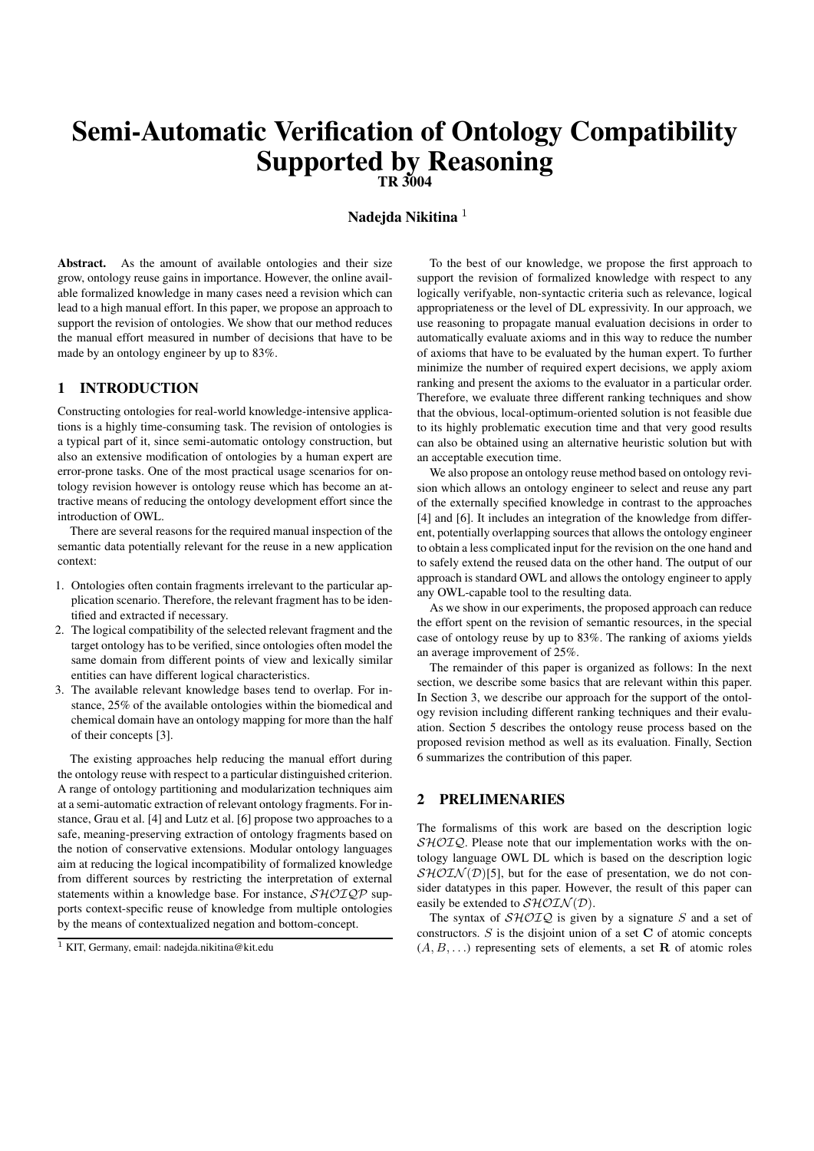# Semi-Automatic Verification of Ontology Compatibility Supported by Reasoning

TR 3004

## Nadejda Nikitina<sup>1</sup>

Abstract. As the amount of available ontologies and their size grow, ontology reuse gains in importance. However, the online available formalized knowledge in many cases need a revision which can lead to a high manual effort. In this paper, we propose an approach to support the revision of ontologies. We show that our method reduces the manual effort measured in number of decisions that have to be made by an ontology engineer by up to 83%.

## 1 INTRODUCTION

Constructing ontologies for real-world knowledge-intensive applications is a highly time-consuming task. The revision of ontologies is a typical part of it, since semi-automatic ontology construction, but also an extensive modification of ontologies by a human expert are error-prone tasks. One of the most practical usage scenarios for ontology revision however is ontology reuse which has become an attractive means of reducing the ontology development effort since the introduction of OWL.

There are several reasons for the required manual inspection of the semantic data potentially relevant for the reuse in a new application context:

- 1. Ontologies often contain fragments irrelevant to the particular application scenario. Therefore, the relevant fragment has to be identified and extracted if necessary.
- 2. The logical compatibility of the selected relevant fragment and the target ontology has to be verified, since ontologies often model the same domain from different points of view and lexically similar entities can have different logical characteristics.
- 3. The available relevant knowledge bases tend to overlap. For instance, 25% of the available ontologies within the biomedical and chemical domain have an ontology mapping for more than the half of their concepts [3].

The existing approaches help reducing the manual effort during the ontology reuse with respect to a particular distinguished criterion. A range of ontology partitioning and modularization techniques aim at a semi-automatic extraction of relevant ontology fragments. For instance, Grau et al. [4] and Lutz et al. [6] propose two approaches to a safe, meaning-preserving extraction of ontology fragments based on the notion of conservative extensions. Modular ontology languages aim at reducing the logical incompatibility of formalized knowledge from different sources by restricting the interpretation of external statements within a knowledge base. For instance,  $\mathcal{SHOIDP}$  supports context-specific reuse of knowledge from multiple ontologies by the means of contextualized negation and bottom-concept.

To the best of our knowledge, we propose the first approach to support the revision of formalized knowledge with respect to any logically verifyable, non-syntactic criteria such as relevance, logical appropriateness or the level of DL expressivity. In our approach, we use reasoning to propagate manual evaluation decisions in order to automatically evaluate axioms and in this way to reduce the number of axioms that have to be evaluated by the human expert. To further minimize the number of required expert decisions, we apply axiom ranking and present the axioms to the evaluator in a particular order. Therefore, we evaluate three different ranking techniques and show that the obvious, local-optimum-oriented solution is not feasible due to its highly problematic execution time and that very good results can also be obtained using an alternative heuristic solution but with an acceptable execution time.

We also propose an ontology reuse method based on ontology revision which allows an ontology engineer to select and reuse any part of the externally specified knowledge in contrast to the approaches [4] and [6]. It includes an integration of the knowledge from different, potentially overlapping sources that allows the ontology engineer to obtain a less complicated input for the revision on the one hand and to safely extend the reused data on the other hand. The output of our approach is standard OWL and allows the ontology engineer to apply any OWL-capable tool to the resulting data.

As we show in our experiments, the proposed approach can reduce the effort spent on the revision of semantic resources, in the special case of ontology reuse by up to 83%. The ranking of axioms yields an average improvement of 25%.

The remainder of this paper is organized as follows: In the next section, we describe some basics that are relevant within this paper. In Section 3, we describe our approach for the support of the ontology revision including different ranking techniques and their evaluation. Section 5 describes the ontology reuse process based on the proposed revision method as well as its evaluation. Finally, Section 6 summarizes the contribution of this paper.

## 2 PRELIMENARIES

The formalisms of this work are based on the description logic  $\mathcal{SHOLQ}$ . Please note that our implementation works with the ontology language OWL DL which is based on the description logic  $\mathcal{SHOLN}(D)[5]$ , but for the ease of presentation, we do not consider datatypes in this paper. However, the result of this paper can easily be extended to  $\mathcal{SHOLN}(D)$ .

The syntax of  $\mathcal{SHOLQ}$  is given by a signature S and a set of constructors.  $S$  is the disjoint union of a set  $C$  of atomic concepts  $(A, B, \ldots)$  representing sets of elements, a set **R** of atomic roles

<sup>1</sup> KIT, Germany, email: nadejda.nikitina@kit.edu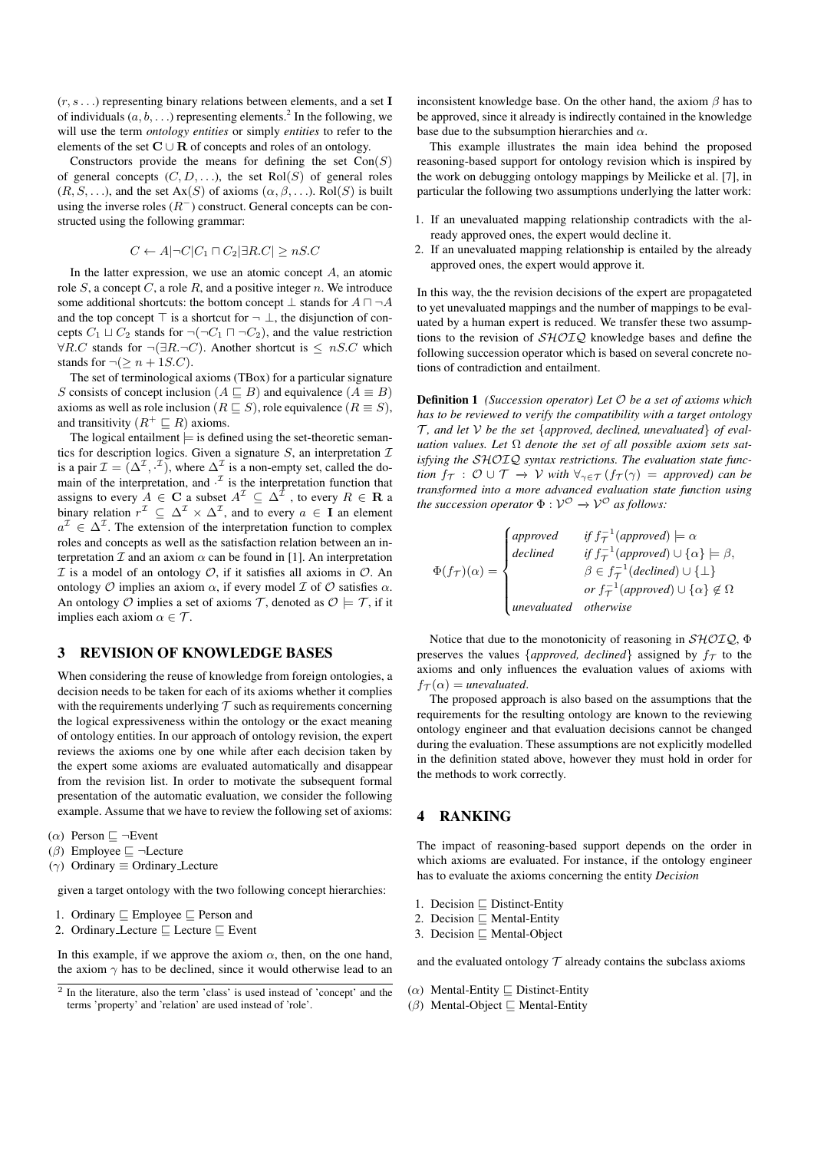$(r, s \dots)$  representing binary relations between elements, and a set I of individuals  $(a, b, \ldots)$  representing elements.<sup>2</sup> In the following, we will use the term *ontology entities* or simply *entities* to refer to the elements of the set  $\mathbf{C} \cup \mathbf{R}$  of concepts and roles of an ontology.

Constructors provide the means for defining the set  $Con(S)$ of general concepts  $(C, D, \ldots)$ , the set Rol $(S)$  of general roles  $(R, S, \ldots)$ , and the set Ax(S) of axioms  $(\alpha, \beta, \ldots)$ . Rol(S) is built using the inverse roles  $(R^-)$  construct. General concepts can be constructed using the following grammar:

$$
C \leftarrow A | \neg C | C_1 \sqcap C_2 | \exists R.C | \geq nS.C
$$

In the latter expression, we use an atomic concept  $A$ , an atomic role  $S$ , a concept  $C$ , a role  $R$ , and a positive integer  $n$ . We introduce some additional shortcuts: the bottom concept  $\perp$  stands for  $A \sqcap \neg A$ and the top concept  $\top$  is a shortcut for  $\neg \bot$ , the disjunction of concepts  $C_1 \sqcup C_2$  stands for  $\neg(\neg C_1 \sqcap \neg C_2)$ , and the value restriction  $\forall R.C$  stands for  $\neg(\exists R.\neg C)$ . Another shortcut is  $\leq nS.C$  which stands for  $\neg(\geq n+1S.C)$ .

The set of terminological axioms (TBox) for a particular signature S consists of concept inclusion ( $A \sqsubseteq B$ ) and equivalence ( $A \equiv B$ ) axioms as well as role inclusion ( $R \sqsubseteq S$ ), role equivalence ( $R \equiv S$ ), and transitivity  $(R^+ \sqsubseteq R)$  axioms.

The logical entailment  $\models$  is defined using the set-theoretic semantics for description logics. Given a signature  $S$ , an interpretation  $I$ is a pair  $\mathcal{I} = (\Delta^{\mathcal{I}}, \cdot^{\mathcal{I}})$ , where  $\Delta^{\mathcal{I}}$  is a non-empty set, called the domain of the interpretation, and  $\cdot^{\mathcal{I}}$  is the interpretation function that assigns to every  $A \in \mathbf{C}$  a subset  $A^{\mathcal{I}} \subseteq \Delta^{\mathcal{I}}$  , to every  $R \in \mathbf{R}$  a binary relation  $r^{\mathcal{I}} \subseteq \Delta^{\mathcal{I}} \times \Delta^{\mathcal{I}}$ , and to every  $a \in I$  an element  $a^{\mathcal{I}} \in \Delta^{\mathcal{I}}$ . The extension of the interpretation function to complex roles and concepts as well as the satisfaction relation between an interpretation  $\mathcal I$  and an axiom  $\alpha$  can be found in [1]. An interpretation  $I$  is a model of an ontology  $O$ , if it satisfies all axioms in  $O$ . An ontology  $O$  implies an axiom  $\alpha$ , if every model  $I$  of  $O$  satisfies  $\alpha$ . An ontology O implies a set of axioms  $\mathcal{T}$ , denoted as  $\mathcal{O} \models \mathcal{T}$ , if it implies each axiom  $\alpha \in \mathcal{T}$ .

## 3 REVISION OF KNOWLEDGE BASES

When considering the reuse of knowledge from foreign ontologies, a decision needs to be taken for each of its axioms whether it complies with the requirements underlying  $T$  such as requirements concerning the logical expressiveness within the ontology or the exact meaning of ontology entities. In our approach of ontology revision, the expert reviews the axioms one by one while after each decision taken by the expert some axioms are evaluated automatically and disappear from the revision list. In order to motivate the subsequent formal presentation of the automatic evaluation, we consider the following example. Assume that we have to review the following set of axioms:

- ( $\alpha$ ) Person  $\Box$   $\neg$ Event
- (β) Employee  $\sqsubseteq \neg$  Lecture
- (γ) Ordinary ≡ Ordinary Lecture

given a target ontology with the two following concept hierarchies:

- 1. Ordinary  $\sqsubseteq$  Employee  $\sqsubseteq$  Person and
- 2. Ordinary Lecture  $\sqsubseteq$  Lecture  $\sqsubseteq$  Event

In this example, if we approve the axiom  $\alpha$ , then, on the one hand, the axiom  $\gamma$  has to be declined, since it would otherwise lead to an inconsistent knowledge base. On the other hand, the axiom  $\beta$  has to be approved, since it already is indirectly contained in the knowledge base due to the subsumption hierarchies and  $\alpha$ .

This example illustrates the main idea behind the proposed reasoning-based support for ontology revision which is inspired by the work on debugging ontology mappings by Meilicke et al. [7], in particular the following two assumptions underlying the latter work:

- 1. If an unevaluated mapping relationship contradicts with the already approved ones, the expert would decline it.
- 2. If an unevaluated mapping relationship is entailed by the already approved ones, the expert would approve it.

In this way, the the revision decisions of the expert are propagateted to yet unevaluated mappings and the number of mappings to be evaluated by a human expert is reduced. We transfer these two assumptions to the revision of  $\mathcal{SHOLQ}$  knowledge bases and define the following succession operator which is based on several concrete notions of contradiction and entailment.

Definition 1 *(Succession operator) Let* O *be a set of axioms which has to be reviewed to verify the compatibility with a target ontology* T *, and let* V *be the set* {*approved, declined, unevaluated*} *of evaluation values. Let* Ω *denote the set of all possible axiom sets satisfying the* SHOIQ *syntax restrictions. The evaluation state function*  $f_{\tau}: \mathcal{O} \cup \mathcal{T} \rightarrow \mathcal{V}$  *with*  $\forall_{\gamma \in \mathcal{T}} (f_{\tau}(\gamma)) =$  *approved*) *can be transformed into a more advanced evaluation state function using the succession operator*  $\Phi : \mathcal{V}^{\mathcal{O}} \to \mathcal{V}^{\mathcal{O}}$  *as follows:* 

 $\Phi(f_{\mathcal{T}})(\alpha) =$  $\sqrt{ }$  $\int$  $\overline{\mathcal{L}}$ *approved if*  $f_{\tau}^{-1}$  (*approved*)  $\models \alpha$ *declined if*  $f_{\tau}^{-1}$  (*approved*)  $\cup \{\alpha\} \models \beta$ ,  $\beta \in f_{\mathcal{T}}^{-1}(decimal) \cup \{\perp\}$ *or*  $f^{-1}_\mathcal{T}(approved) \cup {\alpha} \notin \Omega$ *unevaluated otherwise*

Notice that due to the monotonicity of reasoning in  $\mathcal{SHOLQ}$ ,  $\Phi$ preserves the values {*approved, declined*} assigned by  $f_{\tau}$  to the axioms and only influences the evaluation values of axioms with  $f_{\mathcal{T}}(\alpha) =$  *unevaluated.* 

The proposed approach is also based on the assumptions that the requirements for the resulting ontology are known to the reviewing ontology engineer and that evaluation decisions cannot be changed during the evaluation. These assumptions are not explicitly modelled in the definition stated above, however they must hold in order for the methods to work correctly.

## 4 RANKING

The impact of reasoning-based support depends on the order in which axioms are evaluated. For instance, if the ontology engineer has to evaluate the axioms concerning the entity *Decision*

- 1. Decision  $\sqsubseteq$  Distinct-Entity
- 2. Decision  $\sqsubseteq$  Mental-Entity
- 3. Decision  $\sqsubseteq$  Mental-Object

and the evaluated ontology  $T$  already contains the subclass axioms

- ( $\alpha$ ) Mental-Entity  $\sqsubseteq$  Distinct-Entity
- ( $\beta$ ) Mental-Object  $\sqsubseteq$  Mental-Entity

<sup>&</sup>lt;sup>2</sup> In the literature, also the term 'class' is used instead of 'concept' and the terms 'property' and 'relation' are used instead of 'role'.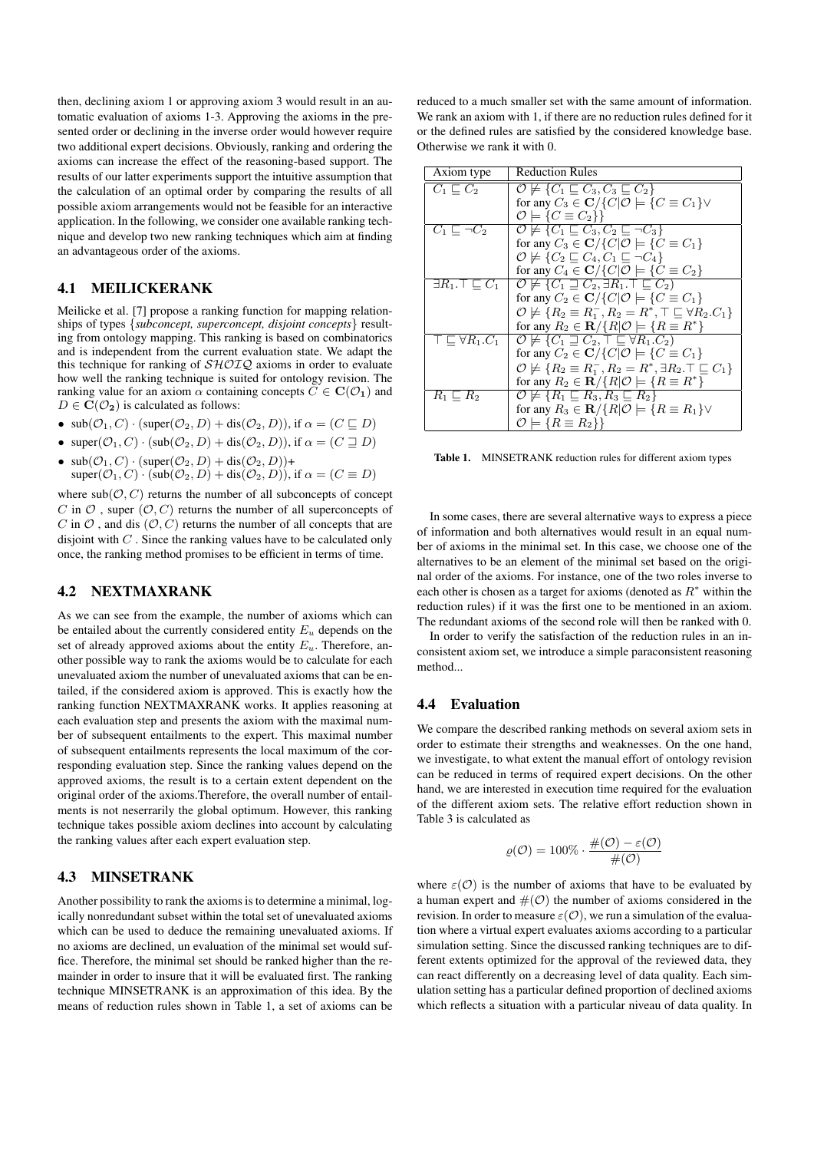then, declining axiom 1 or approving axiom 3 would result in an automatic evaluation of axioms 1-3. Approving the axioms in the presented order or declining in the inverse order would however require two additional expert decisions. Obviously, ranking and ordering the axioms can increase the effect of the reasoning-based support. The results of our latter experiments support the intuitive assumption that the calculation of an optimal order by comparing the results of all possible axiom arrangements would not be feasible for an interactive application. In the following, we consider one available ranking technique and develop two new ranking techniques which aim at finding an advantageous order of the axioms.

## 4.1 MEILICKERANK

Meilicke et al. [7] propose a ranking function for mapping relationships of types {*subconcept, superconcept, disjoint concepts*} resulting from ontology mapping. This ranking is based on combinatorics and is independent from the current evaluation state. We adapt the this technique for ranking of  $\mathcal{SHOLQ}$  axioms in order to evaluate how well the ranking technique is suited for ontology revision. The ranking value for an axiom  $\alpha$  containing concepts  $\tilde{C} \in \mathbf{C}(\mathcal{O}_1)$  and  $D \in \mathbf{C}(\mathcal{O}_2)$  is calculated as follows:

- $\text{sub}(\mathcal{O}_1, C) \cdot (\text{super}(\mathcal{O}_2, D) + \text{dis}(\mathcal{O}_2, D)), \text{if } \alpha = (C \sqsubseteq D)$
- super $(\mathcal{O}_1, C) \cdot (\text{sub}(\mathcal{O}_2, D) + \text{dis}(\mathcal{O}_2, D))$ , if  $\alpha = (C \sqsupseteq D)$
- $\text{sub}(\mathcal{O}_1, C) \cdot (\text{super}(\mathcal{O}_2, D) + \text{dis}(\mathcal{O}_2, D)) +$  $super(\mathcal{O}_1, C) \cdot (sub(\mathcal{O}_2, D) + dis(\mathcal{O}_2, D))$ , if  $\alpha = (C \equiv D)$

where  $\text{sub}(\mathcal{O}, C)$  returns the number of all subconcepts of concept C in  $\mathcal O$ , super  $(\mathcal O, C)$  returns the number of all superconcepts of C in  $\mathcal O$ , and dis  $(\mathcal O, C)$  returns the number of all concepts that are disjoint with  $C$ . Since the ranking values have to be calculated only once, the ranking method promises to be efficient in terms of time.

#### 4.2 NEXTMAXRANK

As we can see from the example, the number of axioms which can be entailed about the currently considered entity  $E_u$  depends on the set of already approved axioms about the entity  $E_u$ . Therefore, another possible way to rank the axioms would be to calculate for each unevaluated axiom the number of unevaluated axioms that can be entailed, if the considered axiom is approved. This is exactly how the ranking function NEXTMAXRANK works. It applies reasoning at each evaluation step and presents the axiom with the maximal number of subsequent entailments to the expert. This maximal number of subsequent entailments represents the local maximum of the corresponding evaluation step. Since the ranking values depend on the approved axioms, the result is to a certain extent dependent on the original order of the axioms.Therefore, the overall number of entailments is not neserrarily the global optimum. However, this ranking technique takes possible axiom declines into account by calculating the ranking values after each expert evaluation step.

## 4.3 MINSETRANK

Another possibility to rank the axioms is to determine a minimal, logically nonredundant subset within the total set of unevaluated axioms which can be used to deduce the remaining unevaluated axioms. If no axioms are declined, un evaluation of the minimal set would suffice. Therefore, the minimal set should be ranked higher than the remainder in order to insure that it will be evaluated first. The ranking technique MINSETRANK is an approximation of this idea. By the means of reduction rules shown in Table 1, a set of axioms can be

reduced to a much smaller set with the same amount of information. We rank an axiom with 1, if there are no reduction rules defined for it or the defined rules are satisfied by the considered knowledge base. Otherwise we rank it with 0.

| Axiom type                       | <b>Reduction Rules</b>                                                                             |
|----------------------------------|----------------------------------------------------------------------------------------------------|
| $C_1 \sqsubset C_2$              | $\mathcal{O} \not\models \{ \overline{C_1} \sqsubseteq C_3, C_3 \sqsubseteq C_2 \}$                |
|                                  | for any $C_3 \in \mathbb{C}/\{C \mathcal{O}  \models \{C \equiv C_1\} \vee$                        |
|                                  | $\mathcal{O} \models \{C \equiv C_2\}\}\$                                                          |
| $C_1 \sqsubset \neg C_2$         | $\mathcal{O} \not\models \{C_1 \sqsubseteq C_3, C_2 \sqsubseteq \neg C_3\}$                        |
|                                  | for any $C_3 \in \mathbb{C}/\{C \mathcal{O}  \models \{C \equiv C_1\}$                             |
|                                  | $\mathcal{O} \not\models \{C_2 \sqsubseteq C_4, C_1 \sqsubseteq \neg C_4\}$                        |
|                                  | for any $C_4 \in \mathbb{C}/\{C \mathcal{O}  \models \{C \equiv C_2\}$                             |
| $\exists R_1.\top \sqsubset C_1$ | $\mathcal{O} \not\models \{C_1 \sqsupseteq C_2, \exists R_1 \ldotp \top \sqsubseteq C_2\}$         |
|                                  | for any $C_2 \in \mathbb{C}/\{C \mathcal{O}  \models \{C \equiv C_1\}$                             |
|                                  | $\mathcal{O} \not\models \{R_2 \equiv R_1^-, R_2 = R^*, \top \sqsubseteq \forall R_2.C_1\}$        |
|                                  | for any $R_2 \in \mathbf{R}/\{R \mathcal{O}  \models \{R \equiv R^*\}\}\$                          |
| $\top \sqsubset \forall R_1.C_1$ | $\mathcal{O} \not\models \{C_1 \sqsupset C_2, \top \sqsubset \forall R_1.C_2\}$                    |
|                                  | for any $C_2 \in \mathbb{C}/\{C \mathcal{O}  \models \{C \equiv C_1\}$                             |
|                                  | $\mathcal{O} \not\models \{R_2 \equiv R_1^-, R_2 = R^*, \exists R_2 \ldotp \top \sqsubseteq C_1\}$ |
|                                  | for any $R_2 \in \mathbf{R}/\{R \mathcal{O}  \in \{R \equiv R^*\}\}\$                              |
| $R_1 \sqsubset R_2$              | $\mathcal{O} \not\models \{R_1 \sqsubseteq R_3, R_3 \sqsubseteq R_2\}$                             |
|                                  | for any $R_3 \in \mathbf{R}/\{R \mathcal{O}  = \{R \equiv R_1\} \vee$                              |
|                                  | $\mathcal{O} \models \{R \equiv R_2\}\}\$                                                          |

Table 1. MINSETRANK reduction rules for different axiom types

In some cases, there are several alternative ways to express a piece of information and both alternatives would result in an equal number of axioms in the minimal set. In this case, we choose one of the alternatives to be an element of the minimal set based on the original order of the axioms. For instance, one of the two roles inverse to each other is chosen as a target for axioms (denoted as  $R^*$  within the reduction rules) if it was the first one to be mentioned in an axiom. The redundant axioms of the second role will then be ranked with 0.

In order to verify the satisfaction of the reduction rules in an inconsistent axiom set, we introduce a simple paraconsistent reasoning method...

#### 4.4 Evaluation

We compare the described ranking methods on several axiom sets in order to estimate their strengths and weaknesses. On the one hand, we investigate, to what extent the manual effort of ontology revision can be reduced in terms of required expert decisions. On the other hand, we are interested in execution time required for the evaluation of the different axiom sets. The relative effort reduction shown in Table 3 is calculated as

$$
\varrho(\mathcal{O}) = 100\% \cdot \frac{\#(\mathcal{O}) - \varepsilon(\mathcal{O})}{\#(\mathcal{O})}
$$

where  $\varepsilon(\mathcal{O})$  is the number of axioms that have to be evaluated by a human expert and  $#(O)$  the number of axioms considered in the revision. In order to measure  $\varepsilon(\mathcal{O})$ , we run a simulation of the evaluation where a virtual expert evaluates axioms according to a particular simulation setting. Since the discussed ranking techniques are to different extents optimized for the approval of the reviewed data, they can react differently on a decreasing level of data quality. Each simulation setting has a particular defined proportion of declined axioms which reflects a situation with a particular niveau of data quality. In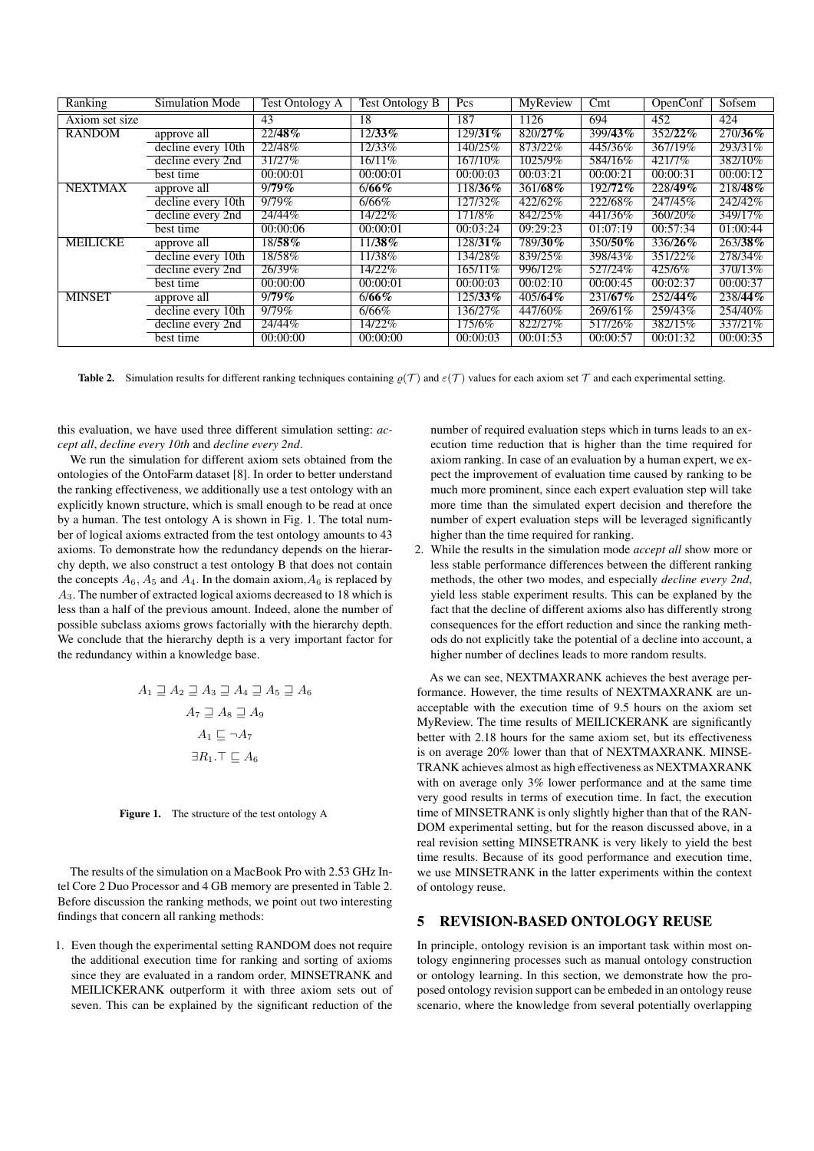| Ranking         | Simulation Mode    | <b>Test Ontology A</b> | <b>Test Ontology B</b> | Pcs        | MyReview | Cmt                | OpenConf | Sofsem     |
|-----------------|--------------------|------------------------|------------------------|------------|----------|--------------------|----------|------------|
| Axiom set size  |                    | 43                     | 18                     | 187        | 1126     | 694                | 452      | 424        |
| <b>RANDOM</b>   | approve all        | 22/48%                 | $12/33\%$              | 129/31%    | 820/27%  | $\frac{399}{43\%}$ | 352/22%  | $270/36\%$ |
|                 | decline every 10th | 22/48%                 | $12/33\%$              | 140/25%    | 873/22%  | 445/36%            | 367/19%  | 293/31%    |
|                 | decline every 2nd  | 31/27%                 | $16/11\%$              | 167/10%    | 1025/9%  | 584/16%            | 421/7%   | 382/10%    |
|                 | best time          | 00:00:01               | 00:00:01               | 00:00:03   | 00:03:21 | 00:00:21           | 00:00:31 | 00:00:12   |
| <b>NEXTMAX</b>  | approve all        | 9/79%                  | 6/66%                  | 118/36%    | 361/68%  | 192/72%            | 228/49%  | 218/48%    |
|                 | decline every 10th | $9/79\%$               | 6/66%                  | 127/32%    | 422/62%  | 222/68%            | 247/45%  | 242/42%    |
|                 | decline every 2nd  | 24/44%                 | 14/22\%                | 171/8%     | 842/25%  | 441/36%            | 360/20%  | 349/17%    |
|                 | best time          | 00:00:06               | 00:00:01               | 00:03:24   | 09:29:23 | 01:07:19           | 00:57:34 | 01:00:44   |
| <b>MEILICKE</b> | approve all        | $18/58\%$              | $11/38\%$              | 128/31%    | 789/30%  | 350/50%            | 336/26%  | $263/38\%$ |
|                 | decline every 10th | 18/58%                 | 11/38\%                | 134/28%    | 839/25%  | 398/43%            | 351/22%  | 278/34%    |
|                 | decline every 2nd  | 26/39%                 | 14/22\%                | 165/11\%   | 996/12%  | 527/24%            | 425/6%   | 370/13%    |
|                 | best time          | 00:00:00               | 00:00:01               | 00:00:03   | 00:02:10 | 00:00:45           | 00:02:37 | 00:00:37   |
| <b>MINSET</b>   | approve all        | 9/79%                  | 6/66%                  | $125/33\%$ | 405/64%  | $231/67\%$         | 252/44%  | 238/44%    |
|                 | decline every 10th | 9/79%                  | 6/66%                  | 136/27%    | 447/60%  | 269/61%            | 259/43%  | 254/40%    |
|                 | decline every 2nd  | 24/44%                 | 14/22\%                | 175/6%     | 822/27%  | 517/26%            | 382/15%  | 337/21%    |
|                 | best time          | 00:00:00               | 00:00:00               | 00:00:03   | 00:01:53 | 00:00:57           | 00:01:32 | 00:00:35   |

**Table 2.** Simulation results for different ranking techniques containing  $\varrho(\mathcal{T})$  and  $\varepsilon(\mathcal{T})$  values for each axiom set  $\mathcal{T}$  and each experimental setting.

this evaluation, we have used three different simulation setting: *accept all*, *decline every 10th* and *decline every 2nd*.

We run the simulation for different axiom sets obtained from the ontologies of the OntoFarm dataset [8]. In order to better understand the ranking effectiveness, we additionally use a test ontology with an explicitly known structure, which is small enough to be read at once by a human. The test ontology A is shown in Fig. 1. The total number of logical axioms extracted from the test ontology amounts to 43 axioms. To demonstrate how the redundancy depends on the hierarchy depth, we also construct a test ontology B that does not contain the concepts  $A_6$ ,  $A_5$  and  $A_4$ . In the domain axiom,  $A_6$  is replaced by  $A_3$ . The number of extracted logical axioms decreased to 18 which is less than a half of the previous amount. Indeed, alone the number of possible subclass axioms grows factorially with the hierarchy depth. We conclude that the hierarchy depth is a very important factor for the redundancy within a knowledge base.

$$
A_1 \sqsupseteq A_2 \sqsupseteq A_3 \sqsupseteq A_4 \sqsupseteq A_5 \sqsupseteq A_6
$$

$$
A_7 \sqsupseteq A_8 \sqsupseteq A_9
$$

$$
A_1 \sqsubseteq \neg A_7
$$

$$
\exists R_1. \top \sqsubseteq A_6
$$

| Figure 1. | The structure of the test ontology A |  |  |  |  |
|-----------|--------------------------------------|--|--|--|--|
|-----------|--------------------------------------|--|--|--|--|

The results of the simulation on a MacBook Pro with 2.53 GHz Intel Core 2 Duo Processor and 4 GB memory are presented in Table 2. Before discussion the ranking methods, we point out two interesting findings that concern all ranking methods:

1. Even though the experimental setting RANDOM does not require the additional execution time for ranking and sorting of axioms since they are evaluated in a random order, MINSETRANK and MEILICKERANK outperform it with three axiom sets out of seven. This can be explained by the significant reduction of the

number of required evaluation steps which in turns leads to an execution time reduction that is higher than the time required for axiom ranking. In case of an evaluation by a human expert, we expect the improvement of evaluation time caused by ranking to be much more prominent, since each expert evaluation step will take more time than the simulated expert decision and therefore the number of expert evaluation steps will be leveraged significantly higher than the time required for ranking.

2. While the results in the simulation mode *accept all* show more or less stable performance differences between the different ranking methods, the other two modes, and especially *decline every 2nd*, yield less stable experiment results. This can be explaned by the fact that the decline of different axioms also has differently strong consequences for the effort reduction and since the ranking methods do not explicitly take the potential of a decline into account, a higher number of declines leads to more random results.

As we can see, NEXTMAXRANK achieves the best average performance. However, the time results of NEXTMAXRANK are unacceptable with the execution time of 9.5 hours on the axiom set MyReview. The time results of MEILICKERANK are significantly better with 2.18 hours for the same axiom set, but its effectiveness is on average 20% lower than that of NEXTMAXRANK. MINSE-TRANK achieves almost as high effectiveness as NEXTMAXRANK with on average only 3% lower performance and at the same time very good results in terms of execution time. In fact, the execution time of MINSETRANK is only slightly higher than that of the RAN-DOM experimental setting, but for the reason discussed above, in a real revision setting MINSETRANK is very likely to yield the best time results. Because of its good performance and execution time, we use MINSETRANK in the latter experiments within the context of ontology reuse.

#### 5 REVISION-BASED ONTOLOGY REUSE

In principle, ontology revision is an important task within most ontology enginnering processes such as manual ontology construction or ontology learning. In this section, we demonstrate how the proposed ontology revision support can be embeded in an ontology reuse scenario, where the knowledge from several potentially overlapping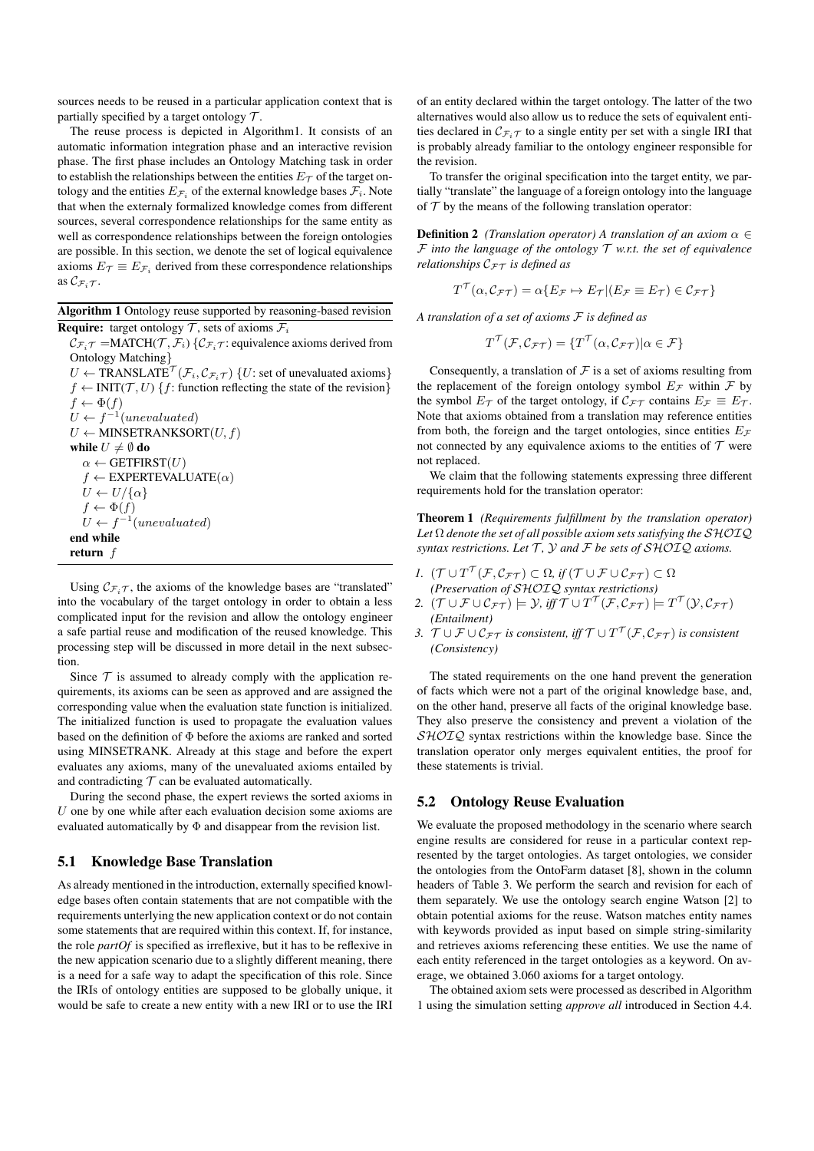sources needs to be reused in a particular application context that is partially specified by a target ontology  $\mathcal{T}$ .

The reuse process is depicted in Algorithm1. It consists of an automatic information integration phase and an interactive revision phase. The first phase includes an Ontology Matching task in order to establish the relationships between the entities  $E<sub>T</sub>$  of the target ontology and the entities  $E_{\mathcal{F}_i}$  of the external knowledge bases  $\mathcal{F}_i$ . Note that when the externaly formalized knowledge comes from different sources, several correspondence relationships for the same entity as well as correspondence relationships between the foreign ontologies are possible. In this section, we denote the set of logical equivalence axioms  $E_{\mathcal{T}} \equiv E_{\mathcal{F}_i}$  derived from these correspondence relationships as  $\mathcal{C}_{\mathcal{F}_{i}\mathcal{T}}$ .

Algorithm 1 Ontology reuse supported by reasoning-based revision **Require:** target ontology  $\mathcal{T}$ , sets of axioms  $\mathcal{F}_i$ 

 $C_{\mathcal{F}_i\mathcal{T}} = \text{MATCH}(\mathcal{T}, \mathcal{F}_i)$  { $C_{\mathcal{F}_i\mathcal{T}}$ : equivalence axioms derived from Ontology Matching}  $U \leftarrow \text{TRANSLATE}^{\mathcal{T}}(\mathcal{F}_i, \mathcal{C}_{\mathcal{F}_i \mathcal{T}})$  {*U*: set of unevaluated axioms}  $f \leftarrow \text{INIT}(\mathcal{T}, U)$  { f: function reflecting the state of the revision}  $f \leftarrow \Phi(f)$  $U \leftarrow f^{-1}(unevaluated)$  $U \leftarrow$  MINSETRANKSORT $(U, f)$ while  $U \neq \emptyset$  do  $\alpha \leftarrow$  GETFIRST $(U)$  $f \leftarrow$  EXPERTEVALUATE( $\alpha$ )  $U \leftarrow U/\{\alpha\}$  $f \leftarrow \Phi(f)$  $U \leftarrow f^{-1}(unevaluated)$ end while return f

Using  $\mathcal{C}_{\mathcal{F}_{i}\mathcal{T}}$ , the axioms of the knowledge bases are "translated" into the vocabulary of the target ontology in order to obtain a less complicated input for the revision and allow the ontology engineer a safe partial reuse and modification of the reused knowledge. This processing step will be discussed in more detail in the next subsection.

Since  $T$  is assumed to already comply with the application requirements, its axioms can be seen as approved and are assigned the corresponding value when the evaluation state function is initialized. The initialized function is used to propagate the evaluation values based on the definition of Φ before the axioms are ranked and sorted using MINSETRANK. Already at this stage and before the expert evaluates any axioms, many of the unevaluated axioms entailed by and contradicting  $T$  can be evaluated automatically.

During the second phase, the expert reviews the sorted axioms in  $U$  one by one while after each evaluation decision some axioms are evaluated automatically by Φ and disappear from the revision list.

#### 5.1 Knowledge Base Translation

As already mentioned in the introduction, externally specified knowledge bases often contain statements that are not compatible with the requirements unterlying the new application context or do not contain some statements that are required within this context. If, for instance, the role *partOf* is specified as irreflexive, but it has to be reflexive in the new appication scenario due to a slightly different meaning, there is a need for a safe way to adapt the specification of this role. Since the IRIs of ontology entities are supposed to be globally unique, it would be safe to create a new entity with a new IRI or to use the IRI of an entity declared within the target ontology. The latter of the two alternatives would also allow us to reduce the sets of equivalent entities declared in  $\mathcal{C}_{\mathcal{F}_i\mathcal{T}}$  to a single entity per set with a single IRI that is probably already familiar to the ontology engineer responsible for the revision.

To transfer the original specification into the target entity, we partially "translate" the language of a foreign ontology into the language of  $T$  by the means of the following translation operator:

**Definition 2** *(Translation operator)* A *translation of an axiom*  $\alpha \in$ F *into the language of the ontology* T *w.r.t. the set of equivalence relationships*  $C_{\mathcal{FT}}$  *is defined as* 

$$
T^{\mathcal{T}}(\alpha, \mathcal{C}_{\mathcal{F}\mathcal{T}}) = \alpha \{ E_{\mathcal{F}} \mapsto E_{\mathcal{T}} | (E_{\mathcal{F}} \equiv E_{\mathcal{T}}) \in \mathcal{C}_{\mathcal{F}\mathcal{T}} \}
$$

*A translation of a set of axioms* F *is defined as*

$$
T^{\mathcal{T}}(\mathcal{F}, \mathcal{C}_{\mathcal{F}\mathcal{T}}) = \{T^{\mathcal{T}}(\alpha, \mathcal{C}_{\mathcal{F}\mathcal{T}})|\alpha \in \mathcal{F}\}
$$

Consequently, a translation of  $\mathcal F$  is a set of axioms resulting from the replacement of the foreign ontology symbol  $E_{\mathcal{F}}$  within  $\mathcal F$  by the symbol  $E_{\mathcal{T}}$  of the target ontology, if  $C_{\mathcal{FT}}$  contains  $E_{\mathcal{F}} \equiv E_{\mathcal{T}}$ . Note that axioms obtained from a translation may reference entities from both, the foreign and the target ontologies, since entities  $E_{\mathcal{F}}$ not connected by any equivalence axioms to the entities of  $T$  were not replaced.

We claim that the following statements expressing three different requirements hold for the translation operator:

Theorem 1 *(Requirements fulfillment by the translation operator)* Let  $\Omega$  *denote the set of all possible axiom sets satisfying the*  $\mathcal{SHOIO}$ *syntax restrictions. Let* T *,* Y *and* F *be sets of* SHOIQ *axioms.*

- *1.*  $(\mathcal{T} \cup T^{\mathcal{T}}(\mathcal{F}, \mathcal{C}_{\mathcal{F}\mathcal{T}}) \subset \Omega$ , if  $(\mathcal{T} \cup \mathcal{F} \cup \mathcal{C}_{\mathcal{F}\mathcal{T}}) \subset \Omega$ *(Preservation of* SHOIQ *syntax restrictions)*
- 2.  $(T \cup \mathcal{F} \cup \mathcal{C}_{\mathcal{F}\mathcal{T}}) \models \mathcal{Y}$ , iff  $\mathcal{T} \cup T^{\mathcal{T}}(\mathcal{F}, \mathcal{C}_{\mathcal{F}\mathcal{T}}) \models T^{\mathcal{T}}(\mathcal{Y}, \mathcal{C}_{\mathcal{F}\mathcal{T}})$ *(Entailment)*
- 3.  $\mathcal{T} \cup \mathcal{F} \cup \mathcal{C}_{\mathcal{FT}}$  *is consistent, iff*  $\mathcal{T} \cup T^{\mathcal{T}}(\mathcal{F},\mathcal{C}_{\mathcal{FT}})$  *is consistent (Consistency)*

The stated requirements on the one hand prevent the generation of facts which were not a part of the original knowledge base, and, on the other hand, preserve all facts of the original knowledge base. They also preserve the consistency and prevent a violation of the  $SHOTQ$  syntax restrictions within the knowledge base. Since the translation operator only merges equivalent entities, the proof for these statements is trivial.

#### 5.2 Ontology Reuse Evaluation

We evaluate the proposed methodology in the scenario where search engine results are considered for reuse in a particular context represented by the target ontologies. As target ontologies, we consider the ontologies from the OntoFarm dataset [8], shown in the column headers of Table 3. We perform the search and revision for each of them separately. We use the ontology search engine Watson [2] to obtain potential axioms for the reuse. Watson matches entity names with keywords provided as input based on simple string-similarity and retrieves axioms referencing these entities. We use the name of each entity referenced in the target ontologies as a keyword. On average, we obtained 3.060 axioms for a target ontology.

The obtained axiom sets were processed as described in Algorithm 1 using the simulation setting *approve all* introduced in Section 4.4.